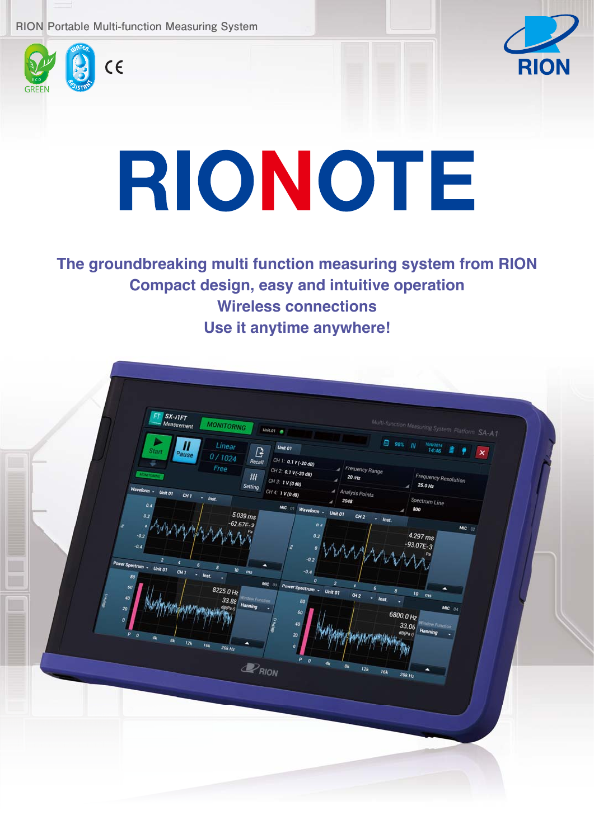



# RIONOTE

**The groundbreaking multi function measuring system from RION Compact design, easy and intuitive operation Wireless connections Use it anytime anywhere!**

| G<br>٠<br><b>Start</b><br>$\pmb{\times}$<br>Pause<br>0/1024<br>CH 1: 0.1 V (-20 dB)<br>Recall<br>Free<br>Frequency Range<br>CH 2 0.1 V (-20 dB)<br>#<br><b>Frequency Resolution</b><br>$20$ kHz<br>CH 3: 1 V (0 dB)<br>25.0 Hz<br>Setting<br>a.<br>Waveform - Unit 01<br>CH 4: 1 V (0 dB)<br>4 Analysis Points<br>CH <sub>1</sub><br>$-$ <i>Inst.</i><br>Spectrum Line<br>2048<br>a.<br>0.4<br>MIC 01 Waveform - Unit 01<br>800<br>٠<br>5.039ms<br>CH <sub>2</sub><br>0.2<br>$ lnst$ .<br>$-62.67E - 3$<br>0.4<br>$MIC$ 02<br>4.297 ms<br>0.2<br>$-0.2$<br>$-93.07E-3$<br>$-0.4$<br>$\boldsymbol{0}$<br>$-0.2$<br>Power Spectrum - Unit 01<br>٠<br>10<br>CH <sub>1</sub><br>ms<br>$-0.4$<br>- $l$<br>80<br>MIC 03 Power Spectrum - Unit 01<br>8225.0 Hz<br>10 <sub>10</sub><br>CH <sub>2</sub><br>m <sub>5</sub><br>$-$ Inst.<br>40<br>33.88<br><b>Old From</b><br>80<br>٠<br>Hanning<br>$MIC$ 04<br>$\partial(Pa)$<br>20<br>60<br>6800.0 Hz<br>33.06<br>40<br>Hanning<br>dB(Par)<br>$\pmb{20}$<br>榆<br>板<br>$12k$<br>16k<br>$\theta$<br>20kHz<br>$\theta$<br>$4k$<br>$P_{RION}$<br>ak<br>12k<br>٠<br>16k<br>$20k$ Hz |  | FT SX-AIFT<br>Measurement<br><b>MONITORING</b><br>Linear<br>Ш | Unit.01<br>Unit 01 | Multi-function Measuring System Platform SA-A1<br>$98%$ ///<br>10/6/2014 |  |  |
|-----------------------------------------------------------------------------------------------------------------------------------------------------------------------------------------------------------------------------------------------------------------------------------------------------------------------------------------------------------------------------------------------------------------------------------------------------------------------------------------------------------------------------------------------------------------------------------------------------------------------------------------------------------------------------------------------------------------------------------------------------------------------------------------------------------------------------------------------------------------------------------------------------------------------------------------------------------------------------------------------------------------------------------------------------------------------------------------------------------------------|--|---------------------------------------------------------------|--------------------|--------------------------------------------------------------------------|--|--|
|-----------------------------------------------------------------------------------------------------------------------------------------------------------------------------------------------------------------------------------------------------------------------------------------------------------------------------------------------------------------------------------------------------------------------------------------------------------------------------------------------------------------------------------------------------------------------------------------------------------------------------------------------------------------------------------------------------------------------------------------------------------------------------------------------------------------------------------------------------------------------------------------------------------------------------------------------------------------------------------------------------------------------------------------------------------------------------------------------------------------------|--|---------------------------------------------------------------|--------------------|--------------------------------------------------------------------------|--|--|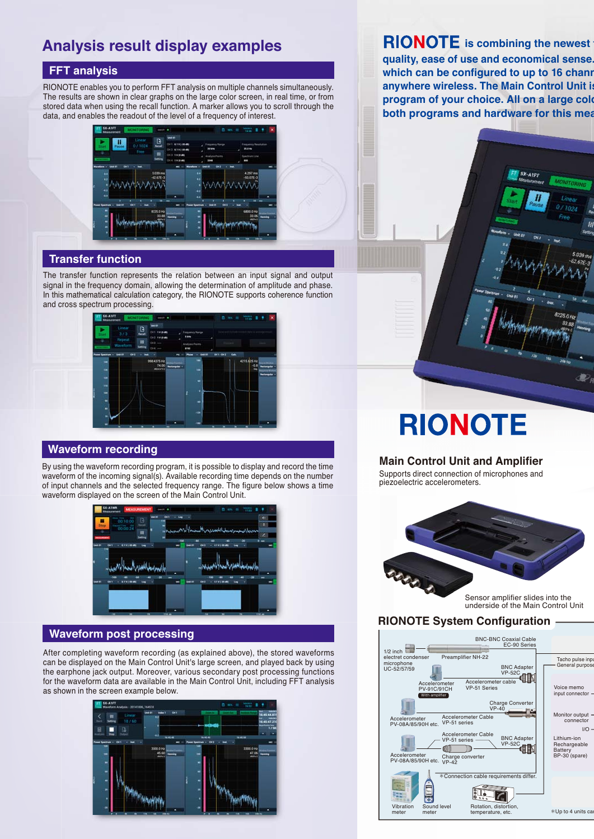### **Analysis result display examples**

#### **FFT analysis**

RIONOTE enables you to perform FFT analysis on multiple channels simultaneously. The results are shown in clear graphs on the large color screen, in real time, or from stored data when using the recall function. A marker allows you to scroll through the data, and enables the readout of the level of a frequency of interest.



#### **Transfer function**

The transfer function represents the relation between an input signal and output signal in the frequency domain, allowing the determination of amplitude and phase. In this mathematical calculation category, the RIONOTE supports coherence function and cross spectrum processing.



#### **Waveform recording**

By using the waveform recording program, it is possible to display and record the time waveform of the incoming signal(s). Available recording time depends on the number of input channels and the selected frequency range. The figure below shows a time waveform displayed on the screen of the Main Control Unit.



#### **Waveform post processing**

After completing waveform recording (as explained above), the stored waveforms can be displayed on the Main Control Unit's large screen, and played back by using the earphone jack output. Moreover, various secondary post processing functions for the waveform data are available in the Main Control Unit, including FFT analysis as shown in the screen example below.



**RIONOTE** is combining the newest **quality, ease of use and economical sense. which can be configured to up to 16 chann anywhere wireless. The Main Control Unit is program of your choice. All on a large colo**

**both programs and hardware for this mea**

# **RIONOTE**

#### **Main Control Unit and Amplifier**

Supports direct connection of microphones and piezoelectric accelerometers.



Sensor amplifier slides into the underside of the Main Control Unit

#### **RIONOTE System Configuration**

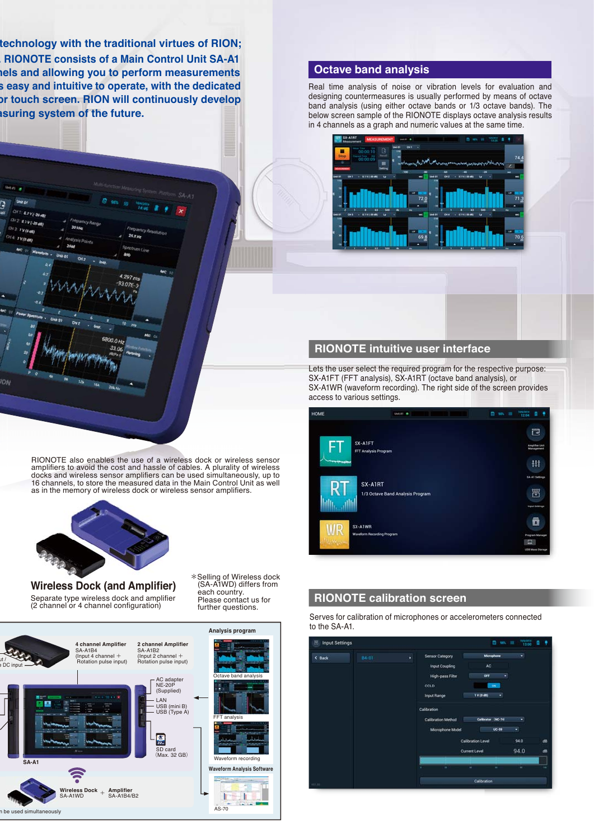**technology with the traditional virtues of RION; . RIONOTE consists of a Main Control Unit SA-A1 nels and allowing you to perform measurements s easy and intuitive to operate, with the dedicated or touch screen. RION will continuously develop asuring system of the future.** 

CH 1: 0.7 V (-20 d) CH2 0.1V(-20 dB) **CH2 1V(0.00)** CHE TVOOR

ÍОA

#### **Octave band analysis**

Real time analysis of noise or vibration levels for evaluation and designing countermeasures is usually performed by means of octave band analysis (using either octave bands or 1/3 octave bands). The below screen sample of the RIONOTE displays octave analysis results in 4 channels as a graph and numeric values at the same time.



#### **RIONOTE intuitive user interface**

Lets the user select the required program for the respective purpose: SX-A1FT (FFT analysis), SX-A1RT (octave band analysis), or SX-A1WR (waveform recording). The right side of the screen provides access to various settings.

| HOME                      | <b>Unitat</b>                     | 1000004<br>$\blacksquare$<br>٠<br>日 30% 田        |
|---------------------------|-----------------------------------|--------------------------------------------------|
| FT<br>SX-AIFT             | FFT Analysis Program              | 鬯<br>Amplifier Link<br>Management                |
| لمعواله المراوحات المراجي |                                   | 耕                                                |
|                           | SX-AIRT                           | SA-AT Settings                                   |
| RT                        | 1/3 Octave Band Analysis Program  | 置<br>Imput Settings                              |
| WR<br>SX-A1WR             |                                   | ō                                                |
|                           | <b>Waveform Recording Program</b> | Program Manager<br>口<br><b>LISE Mass Storage</b> |

#### **RIONOTE calibration screen**



RIONOTE also enables the use of a wireless dock or wireless sensor amplifiers to avoid the cost and hassle of cables. A plurality of wireless docks and wireless sensor amplifiers can be used simultaneously, up to 16 channels, to store the measured data in the Main Control Unit as well as in the memory of wireless dock or wireless sensor amplifiers.

each country.

further questions.



800.0 H  $32<sub>0</sub>$ 

**Wireless Dock (and Amplifier)** Separate type wireless dock and amplifier (2 channel or 4 channel configuration)



\*Selling of Wireless dock (SA-A1WD) differs from Please contact us for